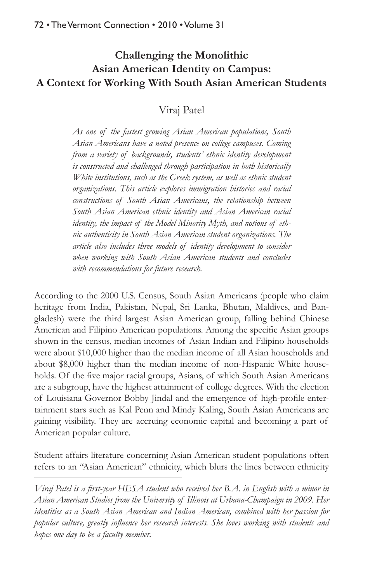# **Challenging the Monolithic Asian American Identity on Campus: A Context for Working With South Asian American Students**

Viraj Patel

*As one of the fastest growing Asian American populations, South Asian Americans have a noted presence on college campuses. Coming from a variety of backgrounds, students' ethnic identity development is constructed and challenged through participation in both historically White institutions, such as the Greek system, as well as ethnic student organizations. This article explores immigration histories and racial constructions of South Asian Americans, the relationship between South Asian American ethnic identity and Asian American racial identity, the impact of the Model Minority Myth, and notions of ethnic authenticity in South Asian American student organizations. The article also includes three models of identity development to consider when working with South Asian American students and concludes with recommendations for future research.* 

According to the 2000 U.S. Census, South Asian Americans (people who claim heritage from India, Pakistan, Nepal, Sri Lanka, Bhutan, Maldives, and Bangladesh) were the third largest Asian American group, falling behind Chinese American and Filipino American populations. Among the specific Asian groups shown in the census, median incomes of Asian Indian and Filipino households were about \$10,000 higher than the median income of all Asian households and about \$8,000 higher than the median income of non-Hispanic White households. Of the five major racial groups, Asians, of which South Asian Americans are a subgroup, have the highest attainment of college degrees. With the election of Louisiana Governor Bobby Jindal and the emergence of high-profile entertainment stars such as Kal Penn and Mindy Kaling, South Asian Americans are gaining visibility. They are accruing economic capital and becoming a part of American popular culture.

Student affairs literature concerning Asian American student populations often refers to an "Asian American" ethnicity, which blurs the lines between ethnicity

*Viraj Patel is a first-year HESA student who received her B.A. in English with a minor in Asian American Studies from the University of Illinois at Urbana-Champaign in 2009. Her identities as a South Asian American and Indian American, combined with her passion for popular culture, greatly influence her research interests. She loves working with students and hopes one day to be a faculty member.*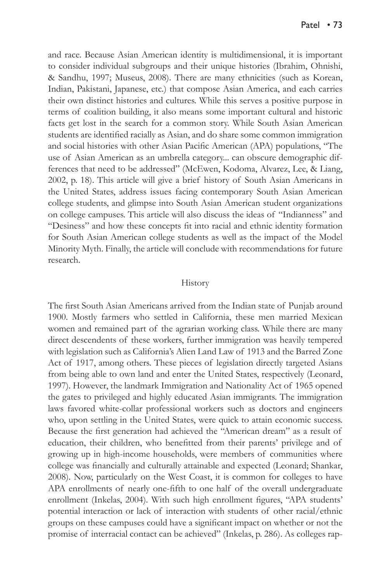and race. Because Asian American identity is multidimensional, it is important to consider individual subgroups and their unique histories (Ibrahim, Ohnishi, & Sandhu, 1997; Museus, 2008). There are many ethnicities (such as Korean, Indian, Pakistani, Japanese, etc.) that compose Asian America, and each carries their own distinct histories and cultures. While this serves a positive purpose in terms of coalition building, it also means some important cultural and historic facts get lost in the search for a common story. While South Asian American students are identified racially as Asian, and do share some common immigration and social histories with other Asian Pacific American (APA) populations, "The use of Asian American as an umbrella category... can obscure demographic differences that need to be addressed" (McEwen, Kodoma, Alvarez, Lee, & Liang, 2002, p. 18). This article will give a brief history of South Asian Americans in the United States, address issues facing contemporary South Asian American college students, and glimpse into South Asian American student organizations on college campuses. This article will also discuss the ideas of "Indianness" and "Desiness" and how these concepts fit into racial and ethnic identity formation for South Asian American college students as well as the impact of the Model Minority Myth. Finally, the article will conclude with recommendations for future research.

#### History

The first South Asian Americans arrived from the Indian state of Punjab around 1900. Mostly farmers who settled in California, these men married Mexican women and remained part of the agrarian working class. While there are many direct descendents of these workers, further immigration was heavily tempered with legislation such as California's Alien Land Law of 1913 and the Barred Zone Act of 1917, among others. These pieces of legislation directly targeted Asians from being able to own land and enter the United States, respectively (Leonard, 1997). However, the landmark Immigration and Nationality Act of 1965 opened the gates to privileged and highly educated Asian immigrants. The immigration laws favored white-collar professional workers such as doctors and engineers who, upon settling in the United States, were quick to attain economic success. Because the first generation had achieved the "American dream" as a result of education, their children, who benefitted from their parents' privilege and of growing up in high-income households, were members of communities where college was financially and culturally attainable and expected (Leonard; Shankar, 2008). Now, particularly on the West Coast, it is common for colleges to have APA enrollments of nearly one-fifth to one half of the overall undergraduate enrollment (Inkelas, 2004). With such high enrollment figures, "APA students' potential interaction or lack of interaction with students of other racial/ethnic groups on these campuses could have a significant impact on whether or not the promise of interracial contact can be achieved" (Inkelas, p. 286). As colleges rap-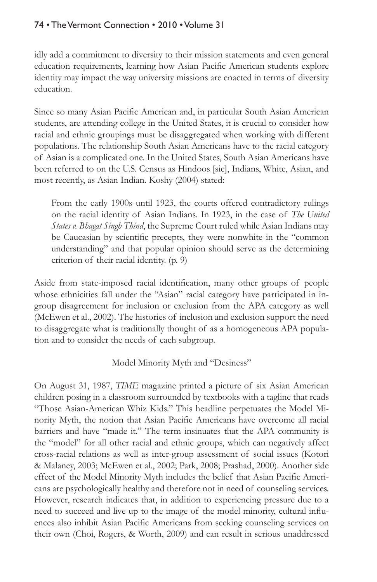# 74 • The Vermont Connection • 2010 • Volume 31

idly add a commitment to diversity to their mission statements and even general education requirements, learning how Asian Pacific American students explore identity may impact the way university missions are enacted in terms of diversity education.

Since so many Asian Pacific American and, in particular South Asian American students, are attending college in the United States, it is crucial to consider how racial and ethnic groupings must be disaggregated when working with different populations. The relationship South Asian Americans have to the racial category of Asian is a complicated one. In the United States, South Asian Americans have been referred to on the U.S. Census as Hindoos [sic], Indians, White, Asian, and most recently, as Asian Indian. Koshy (2004) stated:

From the early 1900s until 1923, the courts offered contradictory rulings on the racial identity of Asian Indians. In 1923, in the case of *The United States v. Bhagat Singh Thind*, the Supreme Court ruled while Asian Indians may be Caucasian by scientific precepts, they were nonwhite in the "common understanding" and that popular opinion should serve as the determining criterion of their racial identity. (p. 9)

Aside from state-imposed racial identification, many other groups of people whose ethnicities fall under the "Asian" racial category have participated in ingroup disagreement for inclusion or exclusion from the APA category as well (McEwen et al., 2002). The histories of inclusion and exclusion support the need to disaggregate what is traditionally thought of as a homogeneous APA population and to consider the needs of each subgroup.

Model Minority Myth and "Desiness"

On August 31, 1987, *TIME* magazine printed a picture of six Asian American children posing in a classroom surrounded by textbooks with a tagline that reads "Those Asian-American Whiz Kids." This headline perpetuates the Model Minority Myth, the notion that Asian Pacific Americans have overcome all racial barriers and have "made it." The term insinuates that the APA community is the "model" for all other racial and ethnic groups, which can negatively affect cross-racial relations as well as inter-group assessment of social issues (Kotori & Malaney, 2003; McEwen et al., 2002; Park, 2008; Prashad, 2000). Another side effect of the Model Minority Myth includes the belief that Asian Pacific Americans are psychologically healthy and therefore not in need of counseling services. However, research indicates that, in addition to experiencing pressure due to a need to succeed and live up to the image of the model minority, cultural influences also inhibit Asian Pacific Americans from seeking counseling services on their own (Choi, Rogers, & Worth, 2009) and can result in serious unaddressed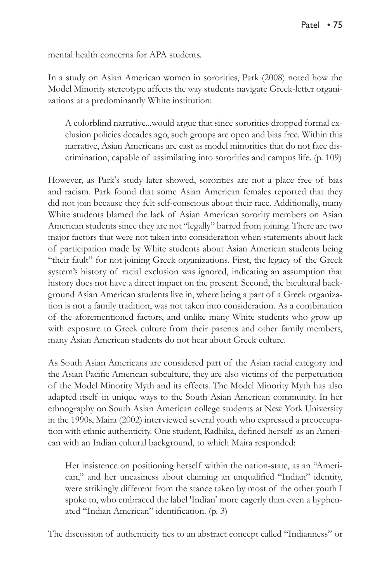mental health concerns for APA students.

In a study on Asian American women in sororities, Park (2008) noted how the Model Minority stereotype affects the way students navigate Greek-letter organizations at a predominantly White institution:

A colorblind narrative...would argue that since sororities dropped formal exclusion policies decades ago, such groups are open and bias free. Within this narrative, Asian Americans are cast as model minorities that do not face discrimination, capable of assimilating into sororities and campus life. (p. 109)

However, as Park's study later showed, sororities are not a place free of bias and racism. Park found that some Asian American females reported that they did not join because they felt self-conscious about their race. Additionally, many White students blamed the lack of Asian American sorority members on Asian American students since they are not "legally" barred from joining. There are two major factors that were not taken into consideration when statements about lack of participation made by White students about Asian American students being "their fault" for not joining Greek organizations. First, the legacy of the Greek system's history of racial exclusion was ignored, indicating an assumption that history does not have a direct impact on the present. Second, the bicultural background Asian American students live in, where being a part of a Greek organization is not a family tradition, was not taken into consideration. As a combination of the aforementioned factors, and unlike many White students who grow up with exposure to Greek culture from their parents and other family members, many Asian American students do not hear about Greek culture.

As South Asian Americans are considered part of the Asian racial category and the Asian Pacific American subculture, they are also victims of the perpetuation of the Model Minority Myth and its effects. The Model Minority Myth has also adapted itself in unique ways to the South Asian American community. In her ethnography on South Asian American college students at New York University in the 1990s, Maira (2002) interviewed several youth who expressed a preoccupation with ethnic authenticity. One student, Radhika, defined herself as an American with an Indian cultural background, to which Maira responded:

Her insistence on positioning herself within the nation-state, as an "American," and her uneasiness about claiming an unqualified "Indian" identity, were strikingly different from the stance taken by most of the other youth I spoke to, who embraced the label 'Indian' more eagerly than even a hyphenated "Indian American" identification. (p. 3)

The discussion of authenticity ties to an abstract concept called "Indianness" or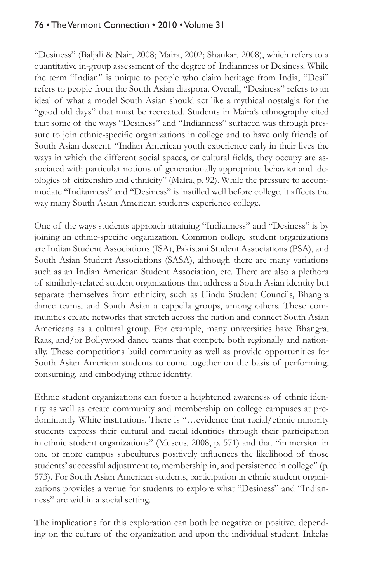# 76 • The Vermont Connection • 2010 • Volume 31

"Desiness" (Baljali & Nair, 2008; Maira, 2002; Shankar, 2008), which refers to a quantitative in-group assessment of the degree of Indianness or Desiness. While the term "Indian" is unique to people who claim heritage from India, "Desi" refers to people from the South Asian diaspora. Overall, "Desiness" refers to an ideal of what a model South Asian should act like a mythical nostalgia for the "good old days" that must be recreated. Students in Maira's ethnography cited that some of the ways "Desiness" and "Indianness" surfaced was through pressure to join ethnic-specific organizations in college and to have only friends of South Asian descent. "Indian American youth experience early in their lives the ways in which the different social spaces, or cultural fields, they occupy are associated with particular notions of generationally appropriate behavior and ideologies of citizenship and ethnicity" (Maira, p. 92). While the pressure to accommodate "Indianness" and "Desiness" is instilled well before college, it affects the way many South Asian American students experience college.

One of the ways students approach attaining "Indianness" and "Desiness" is by joining an ethnic-specific organization. Common college student organizations are Indian Student Associations (ISA), Pakistani Student Associations (PSA), and South Asian Student Associations (SASA), although there are many variations such as an Indian American Student Association, etc. There are also a plethora of similarly-related student organizations that address a South Asian identity but separate themselves from ethnicity, such as Hindu Student Councils, Bhangra dance teams, and South Asian a cappella groups, among others. These communities create networks that stretch across the nation and connect South Asian Americans as a cultural group. For example, many universities have Bhangra, Raas, and/or Bollywood dance teams that compete both regionally and nationally. These competitions build community as well as provide opportunities for South Asian American students to come together on the basis of performing, consuming, and embodying ethnic identity.

Ethnic student organizations can foster a heightened awareness of ethnic identity as well as create community and membership on college campuses at predominantly White institutions. There is "…evidence that racial/ethnic minority students express their cultural and racial identities through their participation in ethnic student organizations" (Museus, 2008, p. 571) and that "immersion in one or more campus subcultures positively influences the likelihood of those students' successful adjustment to, membership in, and persistence in college" (p. 573). For South Asian American students, participation in ethnic student organizations provides a venue for students to explore what "Desiness" and "Indianness" are within a social setting.

The implications for this exploration can both be negative or positive, depending on the culture of the organization and upon the individual student. Inkelas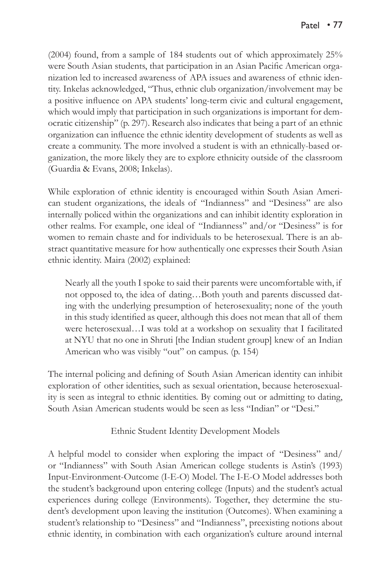(2004) found, from a sample of 184 students out of which approximately 25% were South Asian students, that participation in an Asian Pacific American organization led to increased awareness of APA issues and awareness of ethnic identity. Inkelas acknowledged, "Thus, ethnic club organization/involvement may be a positive influence on APA students' long-term civic and cultural engagement, which would imply that participation in such organizations is important for democratic citizenship" (p. 297). Research also indicates that being a part of an ethnic organization can influence the ethnic identity development of students as well as create a community. The more involved a student is with an ethnically-based organization, the more likely they are to explore ethnicity outside of the classroom (Guardia & Evans, 2008; Inkelas).

While exploration of ethnic identity is encouraged within South Asian American student organizations, the ideals of "Indianness" and "Desiness" are also internally policed within the organizations and can inhibit identity exploration in other realms. For example, one ideal of "Indianness" and/or "Desiness" is for women to remain chaste and for individuals to be heterosexual. There is an abstract quantitative measure for how authentically one expresses their South Asian ethnic identity. Maira (2002) explained:

Nearly all the youth I spoke to said their parents were uncomfortable with, if not opposed to, the idea of dating…Both youth and parents discussed dating with the underlying presumption of heterosexuality; none of the youth in this study identified as queer, although this does not mean that all of them were heterosexual…I was told at a workshop on sexuality that I facilitated at NYU that no one in Shruti [the Indian student group] knew of an Indian American who was visibly "out" on campus. (p. 154)

The internal policing and defining of South Asian American identity can inhibit exploration of other identities, such as sexual orientation, because heterosexuality is seen as integral to ethnic identities. By coming out or admitting to dating, South Asian American students would be seen as less "Indian" or "Desi."

### Ethnic Student Identity Development Models

A helpful model to consider when exploring the impact of "Desiness" and/ or "Indianness" with South Asian American college students is Astin's (1993) Input-Environment-Outcome (I-E-O) Model. The I-E-O Model addresses both the student's background upon entering college (Inputs) and the student's actual experiences during college (Environments). Together, they determine the student's development upon leaving the institution (Outcomes). When examining a student's relationship to "Desiness" and "Indianness", preexisting notions about ethnic identity, in combination with each organization's culture around internal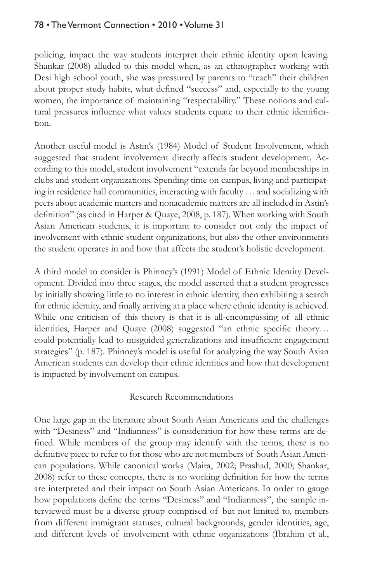# 78 • The Vermont Connection • 2010 • Volume 31

policing, impact the way students interpret their ethnic identity upon leaving. Shankar (2008) alluded to this model when, as an ethnographer working with Desi high school youth, she was pressured by parents to "teach" their children about proper study habits, what defined "success" and, especially to the young women, the importance of maintaining "respectability." These notions and cultural pressures influence what values students equate to their ethnic identification.

Another useful model is Astin's (1984) Model of Student Involvement, which suggested that student involvement directly affects student development. According to this model, student involvement "extends far beyond memberships in clubs and student organizations. Spending time on campus, living and participating in residence hall communities, interacting with faculty … and socializing with peers about academic matters and nonacademic matters are all included in Astin's definition" (as cited in Harper & Quaye, 2008, p. 187). When working with South Asian American students, it is important to consider not only the impact of involvement with ethnic student organizations, but also the other environments the student operates in and how that affects the student's holistic development.

A third model to consider is Phinney's (1991) Model of Ethnic Identity Development. Divided into three stages, the model asserted that a student progresses by initially showing little to no interest in ethnic identity, then exhibiting a search for ethnic identity, and finally arriving at a place where ethnic identity is achieved. While one criticism of this theory is that it is all-encompassing of all ethnic identities, Harper and Quaye (2008) suggested "an ethnic specific theory… could potentially lead to misguided generalizations and insufficient engagement strategies" (p. 187). Phinney's model is useful for analyzing the way South Asian American students can develop their ethnic identities and how that development is impacted by involvement on campus.

### Research Recommendations

One large gap in the literature about South Asian Americans and the challenges with "Desiness" and "Indianness" is consideration for how these terms are defined. While members of the group may identify with the terms, there is no definitive piece to refer to for those who are not members of South Asian American populations. While canonical works (Maira, 2002; Prashad, 2000; Shankar, 2008) refer to these concepts, there is no working definition for how the terms are interpreted and their impact on South Asian Americans. In order to gauge how populations define the terms "Desiness" and "Indianness", the sample interviewed must be a diverse group comprised of but not limited to, members from different immigrant statuses, cultural backgrounds, gender identities, age, and different levels of involvement with ethnic organizations (Ibrahim et al.,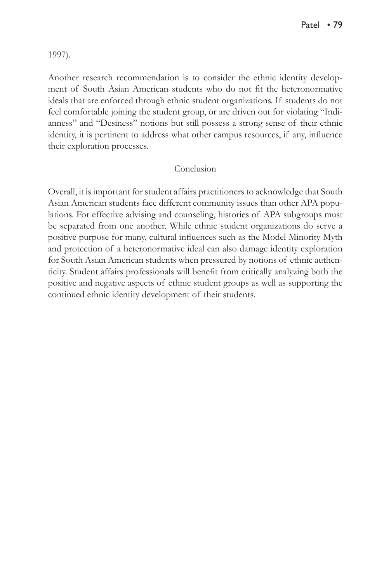1997).

Another research recommendation is to consider the ethnic identity development of South Asian American students who do not fit the heteronormative ideals that are enforced through ethnic student organizations. If students do not feel comfortable joining the student group, or are driven out for violating "Indianness" and "Desiness" notions but still possess a strong sense of their ethnic identity, it is pertinent to address what other campus resources, if any, influence their exploration processes.

### Conclusion

Overall, it is important for student affairs practitioners to acknowledge that South Asian American students face different community issues than other APA populations. For effective advising and counseling, histories of APA subgroups must be separated from one another. While ethnic student organizations do serve a positive purpose for many, cultural influences such as the Model Minority Myth and protection of a heteronormative ideal can also damage identity exploration for South Asian American students when pressured by notions of ethnic authenticity. Student affairs professionals will benefit from critically analyzing both the positive and negative aspects of ethnic student groups as well as supporting the continued ethnic identity development of their students.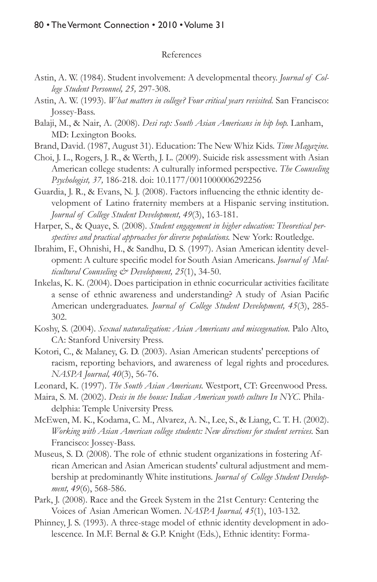#### References

- Astin, A. W. (1984). Student involvement: A developmental theory. *Journal of College Student Personnel, 25,* 297-308.
- Astin, A. W. (1993). *What matters in college? Four critical years revisited.* San Francisco: Jossey-Bass.
- Balaji, M., & Nair, A. (2008). *Desi rap: South Asian Americans in hip hop.* Lanham, MD: Lexington Books.
- Brand, David. (1987, August 31). Education: The New Whiz Kids. *Time Magazine.*
- Choi, J. L., Rogers, J. R., & Werth, J. L. (2009). Suicide risk assessment with Asian American college students: A culturally informed perspective. *The Counseling Psychologist, 37,* 186-218. doi: 10.1177/0011000006292256

Guardia, J. R., & Evans, N. J. (2008). Factors influencing the ethnic identity development of Latino fraternity members at a Hispanic serving institution. *Journal of College Student Development, 49*(3), 163-181.

Harper, S., & Quaye, S. (2008). *Student engagement in higher education: Theoretical perspectives and practical approaches for diverse populations.* New York: Routledge.

- Ibrahim, F., Ohnishi, H., & Sandhu, D. S. (1997). Asian American identity development: A culture specific model for South Asian Americans. *Journal of Multicultural Counseling & Development, 25*(1), 34-50.
- Inkelas, K. K. (2004). Does participation in ethnic cocurricular activities facilitate a sense of ethnic awareness and understanding? A study of Asian Pacific American undergraduates. *Journal of College Student Development, 45*(3), 285- 302.
- Koshy, S. (2004). *Sexual naturalization: Asian Americans and miscegenation.* Palo Alto, CA: Stanford University Press.
- Kotori, C., & Malaney, G. D. (2003). Asian American students' perceptions of racism, reporting behaviors, and awareness of legal rights and procedures. *NASPA Journal, 40*(3), 56-76.
- Leonard, K. (1997). *The South Asian Americans.* Westport, CT: Greenwood Press.
- Maira, S. M. (2002). *Desis in the house: Indian American youth culture In NYC*. Philadelphia: Temple University Press.
- McEwen, M. K., Kodama, C. M., Alvarez, A. N., Lee, S., & Liang, C. T. H. (2002). *Working with Asian American college students: New directions for student services.* San Francisco: Jossey-Bass.
- Museus, S. D. (2008). The role of ethnic student organizations in fostering African American and Asian American students' cultural adjustment and membership at predominantly White institutions. *Journal of College Student Development, 49*(6), 568-586.
- Park, J. (2008). Race and the Greek System in the 21st Century: Centering the Voices of Asian American Women. *NASPA Journal, 45*(1), 103-132.
- Phinney, J. S. (1993). A three-stage model of ethnic identity development in adolescence. In M.F. Bernal & G.P. Knight (Eds.), Ethnic identity: Forma-